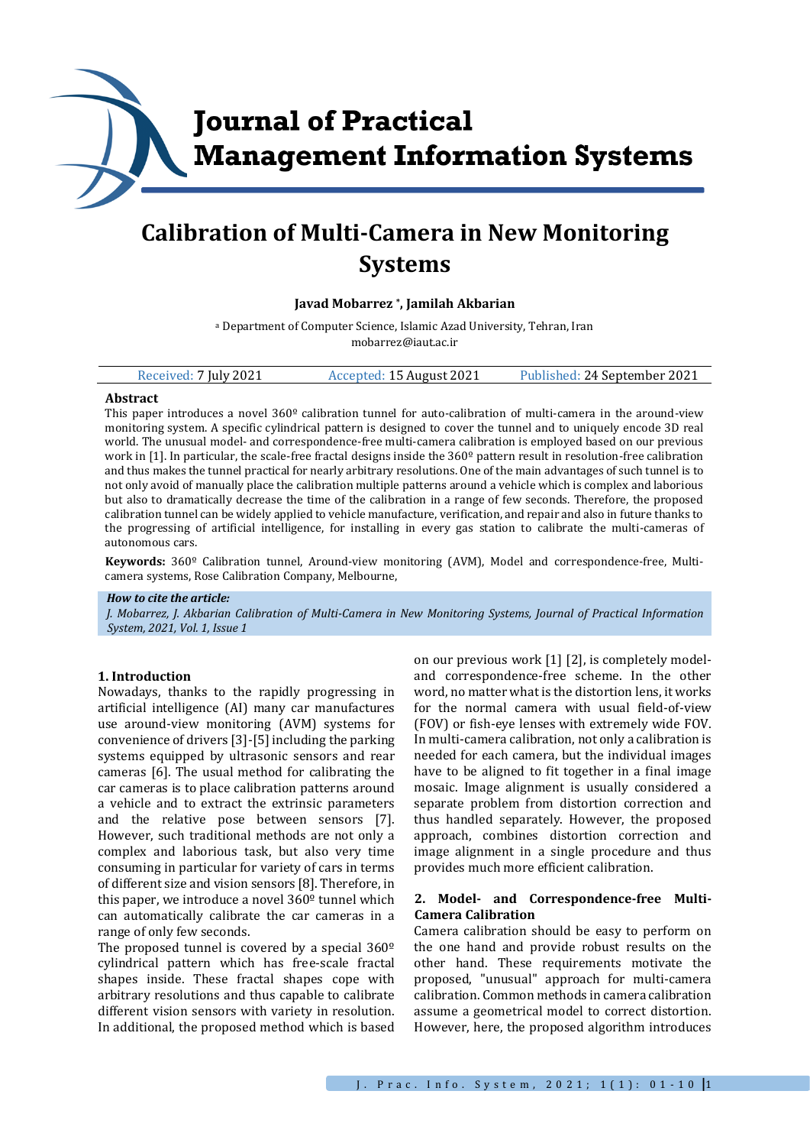

# **Calibration of Multi-Camera in New Monitoring Systems**

### **Javad Mobarrez \* , Jamilah Akbarian**

<sup>a</sup> Department of Computer Science, Islamic Azad University, Tehran, Iran mobarrez@iaut.ac.ir

| Received: 7 July 2021 | Accepted: 15 August 2021 | Published: 24 September 2021 |
|-----------------------|--------------------------|------------------------------|
|                       |                          |                              |

#### **Abstract**

This paper introduces a novel  $360<sup>°</sup>$  calibration tunnel for auto-calibration of multi-camera in the around-view monitoring system. A specific cylindrical pattern is designed to cover the tunnel and to uniquely encode 3D real world. The unusual model- and correspondence-free multi-camera calibration is employed based on our previous work in [1]. In particular, the scale-free fractal designs inside the 360º pattern result in resolution-free calibration and thus makes the tunnel practical for nearly arbitrary resolutions. One of the main advantages of such tunnel is to not only avoid of manually place the calibration multiple patterns around a vehicle which is complex and laborious but also to dramatically decrease the time of the calibration in a range of few seconds. Therefore, the proposed calibration tunnel can be widely applied to vehicle manufacture, verification, and repair and also in future thanks to the progressing of artificial intelligence, for installing in every gas station to calibrate the multi-cameras of autonomous cars.

**Keywords:** 360º Calibration tunnel, Around-view monitoring (AVM), Model and correspondence-free, Multicamera systems, Rose Calibration Company, Melbourne,

#### *How to cite the article:*

*J. Mobarrez, J. Akbarian Calibration of Multi-Camera in New Monitoring Systems, Journal of Practical Information System, 2021, Vol. 1, Issue 1*

#### **1. Introduction**

Nowadays, thanks to the rapidly progressing in artificial intelligence (AI) many car manufactures use around-view monitoring (AVM) systems for convenience of drivers [3]-[5] including the parking systems equipped by ultrasonic sensors and rear cameras [6]. The usual method for calibrating the car cameras is to place calibration patterns around a vehicle and to extract the extrinsic parameters and the relative pose between sensors [7]. However, such traditional methods are not only a complex and laborious task, but also very time consuming in particular for variety of cars in terms of different size and vision sensors [8]. Therefore, in this paper, we introduce a novel 360º tunnel which can automatically calibrate the car cameras in a range of only few seconds.

The proposed tunnel is covered by a special  $360^{\circ}$ cylindrical pattern which has free-scale fractal shapes inside. These fractal shapes cope with arbitrary resolutions and thus capable to calibrate different vision sensors with variety in resolution. In additional, the proposed method which is based

on our previous work [1] [2], is completely modeland correspondence-free scheme. In the other word, no matter what is the distortion lens, it works for the normal camera with usual field-of-view (FOV) or fish-eye lenses with extremely wide FOV. In multi-camera calibration, not only a calibration is needed for each camera, but the individual images have to be aligned to fit together in a final image mosaic. Image alignment is usually considered a separate problem from distortion correction and thus handled separately. However, the proposed approach, combines distortion correction and image alignment in a single procedure and thus provides much more efficient calibration.

### **2. Model- and Correspondence-free Multi-Camera Calibration**

Camera calibration should be easy to perform on the one hand and provide robust results on the other hand. These requirements motivate the proposed, "unusual" approach for multi-camera calibration. Common methods in camera calibration assume a geometrical model to correct distortion. However, here, the proposed algorithm introduces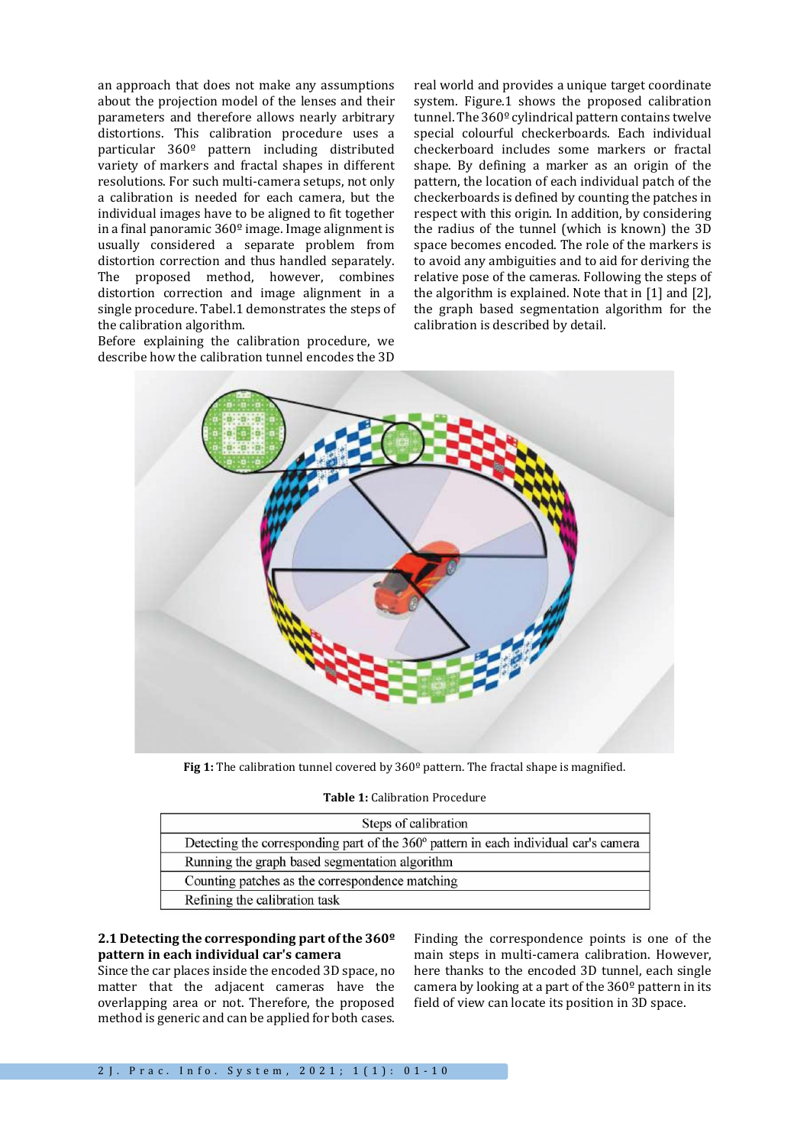an approach that does not make any assumptions about the projection model of the lenses and their parameters and therefore allows nearly arbitrary distortions. This calibration procedure uses a particular 360º pattern including distributed variety of markers and fractal shapes in different resolutions. For such multi-camera setups, not only a calibration is needed for each camera, but the individual images have to be aligned to fit together in a final panoramic  $360^{\circ}$  image. Image alignment is usually considered a separate problem from distortion correction and thus handled separately. The proposed method, however, combines distortion correction and image alignment in a single procedure. Tabel.1 demonstrates the steps of the calibration algorithm.

Before explaining the calibration procedure, we describe how the calibration tunnel encodes the 3D

real world and provides a unique target coordinate system. Figure.1 shows the proposed calibration tunnel. The 360º cylindrical pattern contains twelve special colourful checkerboards. Each individual checkerboard includes some markers or fractal shape. By defining a marker as an origin of the pattern, the location of each individual patch of the checkerboards is defined by counting the patches in respect with this origin. In addition, by considering the radius of the tunnel (which is known) the 3D space becomes encoded. The role of the markers is to avoid any ambiguities and to aid for deriving the relative pose of the cameras. Following the steps of the algorithm is explained. Note that in [1] and [2], the graph based segmentation algorithm for the calibration is described by detail.



Fig 1: The calibration tunnel covered by 360<sup>°</sup> pattern. The fractal shape is magnified.

#### **Table 1:** Calibration Procedure

| Steps of calibration                                                                 |  |
|--------------------------------------------------------------------------------------|--|
| Detecting the corresponding part of the 360° pattern in each individual car's camera |  |
| Running the graph based segmentation algorithm                                       |  |
| Counting patches as the correspondence matching                                      |  |
| Refining the calibration task                                                        |  |

# **2.1 Detecting the corresponding part of the 360º pattern in each individual car's camera**

Since the car places inside the encoded 3D space, no matter that the adjacent cameras have the overlapping area or not. Therefore, the proposed method is generic and can be applied for both cases.

Finding the correspondence points is one of the main steps in multi-camera calibration. However, here thanks to the encoded 3D tunnel, each single camera by looking at a part of the  $360<sup>°</sup>$  pattern in its field of view can locate its position in 3D space.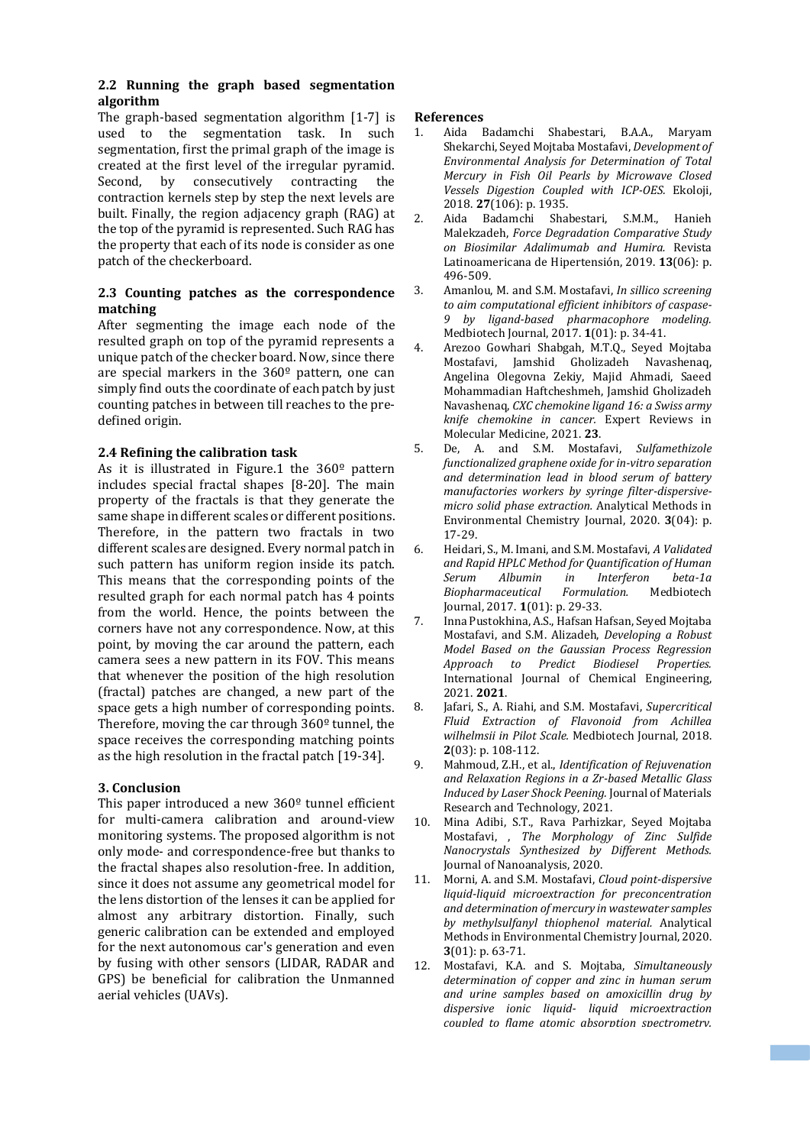# **2.2 Running the graph based segmentation algorithm**

The graph-based segmentation algorithm [1-7] is used to the segmentation task. In such segmentation, first the primal graph of the image is created at the first level of the irregular pyramid. Second, by consecutively contracting the contraction kernels step by step the next levels are built. Finally, the region adjacency graph (RAG) at the top of the pyramid is represented. Such RAG has the property that each of its node is consider as one patch of the checkerboard.

# **2.3 Counting patches as the correspondence matching**

After segmenting the image each node of the resulted graph on top of the pyramid represents a unique patch of the checker board. Now, since there are special markers in the 360º pattern, one can simply find outs the coordinate of each patch by just counting patches in between till reaches to the predefined origin.

# **2.4 Refining the calibration task**

As it is illustrated in Figure.1 the 360º pattern includes special fractal shapes [8-20]. The main property of the fractals is that they generate the same shape in different scales or different positions. Therefore, in the pattern two fractals in two different scales are designed. Every normal patch in such pattern has uniform region inside its patch. This means that the corresponding points of the resulted graph for each normal patch has 4 points from the world. Hence, the points between the corners have not any correspondence. Now, at this point, by moving the car around the pattern, each camera sees a new pattern in its FOV. This means that whenever the position of the high resolution (fractal) patches are changed, a new part of the space gets a high number of corresponding points. Therefore, moving the car through 360º tunnel, the space receives the corresponding matching points as the high resolution in the fractal patch [19-34].

## **3. Conclusion**

This paper introduced a new 360<sup>o</sup> tunnel efficient for multi-camera calibration and around-view monitoring systems. The proposed algorithm is not only mode- and correspondence-free but thanks to the fractal shapes also resolution-free. In addition, since it does not assume any geometrical model for the lens distortion of the lenses it can be applied for almost any arbitrary distortion. Finally, such generic calibration can be extended and employed for the next autonomous car's generation and even by fusing with other sensors (LIDAR, RADAR and GPS) be beneficial for calibration the Unmanned aerial vehicles (UAVs).

## **References**

- 1. Aida Badamchi Shabestari, B.A.A., Maryam Shekarchi, Seyed Mojtaba Mostafavi, *Development of Environmental Analysis for Determination of Total Mercury in Fish Oil Pearls by Microwave Closed Vessels Digestion Coupled with ICP-OES.* Ekoloji, 2018. **27**(106): p. 1935.
- 2. Aida Badamchi Shabestari, S.M.M., Hanieh Malekzadeh, *Force Degradation Comparative Study on Biosimilar Adalimumab and Humira.* Revista Latinoamericana de Hipertensión, 2019. **13**(06): p. 496-509.
- 3. Amanlou, M. and S.M. Mostafavi, *In sillico screening to aim computational efficient inhibitors of caspase-9 by ligand-based pharmacophore modeling.* Medbiotech Journal, 2017. **1**(01): p. 34-41.
- 4. Arezoo Gowhari Shabgah, M.T.Q., Seyed Mojtaba Mostafavi, Jamshid Gholizadeh Navashenaq, Angelina Olegovna Zekiy, Majid Ahmadi, Saeed Mohammadian Haftcheshmeh, Jamshid Gholizadeh Navashenaq, *CXC chemokine ligand 16: a Swiss army knife chemokine in cancer.* Expert Reviews in Molecular Medicine, 2021. **23**.
- 5. De, A. and S.M. Mostafavi, *Sulfamethizole functionalized graphene oxide for in-vitro separation and determination lead in blood serum of battery manufactories workers by syringe filter-dispersivemicro solid phase extraction.* Analytical Methods in Environmental Chemistry Journal, 2020. **3**(04): p. 17-29.
- 6. Heidari, S., M. Imani, and S.M. Mostafavi, *A Validated and Rapid HPLC Method for Quantification of Human Serum Albumin in Interferon beta-1a Biopharmaceutical Formulation.* Medbiotech Journal, 2017. **1**(01): p. 29-33.
- 7. Inna Pustokhina, A.S., Hafsan Hafsan, Seyed Mojtaba Mostafavi, and S.M. Alizadeh, *Developing a Robust Model Based on the Gaussian Process Regression Approach to Predict Biodiesel Properties.* International Journal of Chemical Engineering, 2021. **2021**.
- 8. Jafari, S., A. Riahi, and S.M. Mostafavi, *Supercritical Fluid Extraction of Flavonoid from Achillea wilhelmsii in Pilot Scale.* Medbiotech Journal, 2018. **2**(03): p. 108-112.
- 9. Mahmoud, Z.H., et al., *Identification of Rejuvenation and Relaxation Regions in a Zr-based Metallic Glass Induced by Laser Shock Peening.* Journal of Materials Research and Technology, 2021.
- 10. Mina Adibi, S.T., Rava Parhizkar, Seyed Mojtaba Mostafavi, , *The Morphology of Zinc Sulfide Nanocrystals Synthesized by Different Methods.* Journal of Nanoanalysis, 2020.
- 11. Morni, A. and S.M. Mostafavi, *Cloud point-dispersive liquid-liquid microextraction for preconcentration and determination of mercury in wastewater samples by methylsulfanyl thiophenol material.* Analytical Methods in Environmental Chemistry Journal, 2020. **3**(01): p. 63-71.
- 12. Mostafavi, K.A. and S. Mojtaba, *Simultaneously determination of copper and zinc in human serum and urine samples based on amoxicillin drug by dispersive ionic liquid- liquid microextraction coupled to flame atomic absorption spectrometry.*